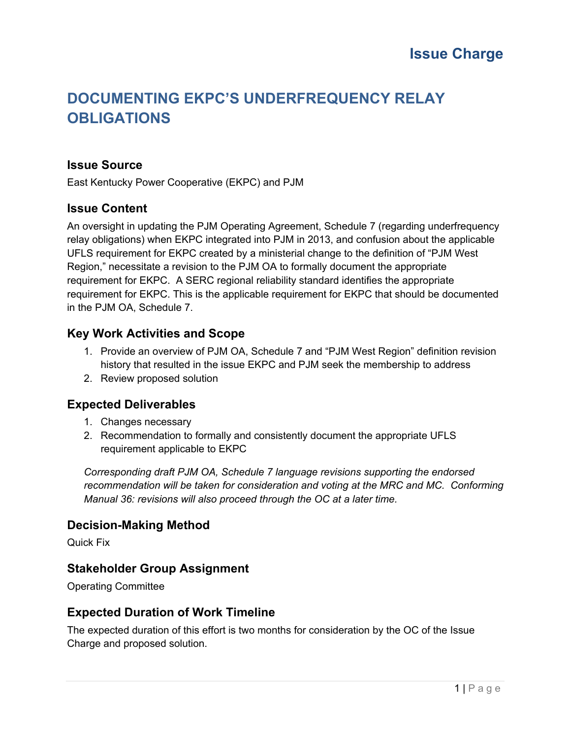## **DOCUMENTING EKPC'S UNDERFREQUENCY RELAY OBLIGATIONS**

#### **Issue Source**

East Kentucky Power Cooperative (EKPC) and PJM

#### **Issue Content**

An oversight in updating the PJM Operating Agreement, Schedule 7 (regarding underfrequency relay obligations) when EKPC integrated into PJM in 2013, and confusion about the applicable UFLS requirement for EKPC created by a ministerial change to the definition of "PJM West Region," necessitate a revision to the PJM OA to formally document the appropriate requirement for EKPC. A SERC regional reliability standard identifies the appropriate requirement for EKPC. This is the applicable requirement for EKPC that should be documented in the PJM OA, Schedule 7.

#### **Key Work Activities and Scope**

- 1. Provide an overview of PJM OA, Schedule 7 and "PJM West Region" definition revision history that resulted in the issue EKPC and PJM seek the membership to address
- 2. Review proposed solution

#### **Expected Deliverables**

- 1. Changes necessary
- 2. Recommendation to formally and consistently document the appropriate UFLS requirement applicable to EKPC

*Corresponding draft PJM OA, Schedule 7 language revisions supporting the endorsed recommendation will be taken for consideration and voting at the MRC and MC. Conforming Manual 36: revisions will also proceed through the OC at a later time.* 

#### **Decision-Making Method**

Quick Fix

#### **Stakeholder Group Assignment**

Operating Committee

#### **Expected Duration of Work Timeline**

The expected duration of this effort is two months for consideration by the OC of the Issue Charge and proposed solution.